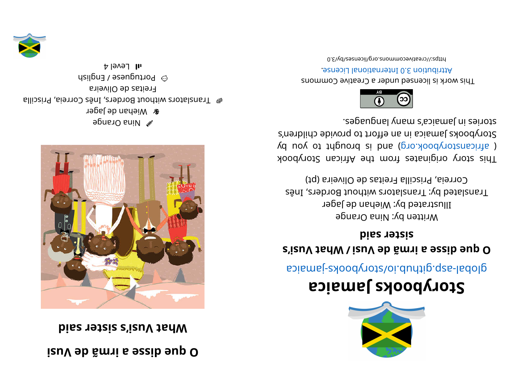## **i <sup>s</sup> uV ed ã mri <sup>a</sup> essi d euq O**

**bise retrices s i z d s i s i s i s i s i s i s i s i s i s i s i s i s i s i s i s i s i s i s i s i s i s i s i s**



egns O sni N **r** Wiehan de Jager alli can alla conders, Inês Correia, Priscilla Freitas de Oliveira  $\otimes$  bortuguese / English  $H$ l Level 4





## **aci <sup>a</sup> maJ skoobyr otS**

apiamej-zyoodyotz/oi.duntip.qzs-ladolg

## *<u><b>s'i* **z h zh s b s** *s s s s s s s s s s s s s s s s s s s s s s s <i>s s s s s s s s*</u> **bisc** retails

Written by: Nina Orange Illustrated by: Wiehan de Jager Translated by: Translators without Borders, Inês Correia, Priscilla Freitas de Oliveira (pt)

This story originates from the African Storybook  $\chi$  africanstorybook.org) and is brought to you by Storybooks Jamaica in an effort to provide children's segaugnal ynam a' abiamel ni esinote.



This work is licensed under a Creative Commons . esnecial lanoit annul 0. S noit udint A

0. E\vd\zesrivecommons.org/licenses/by/3.0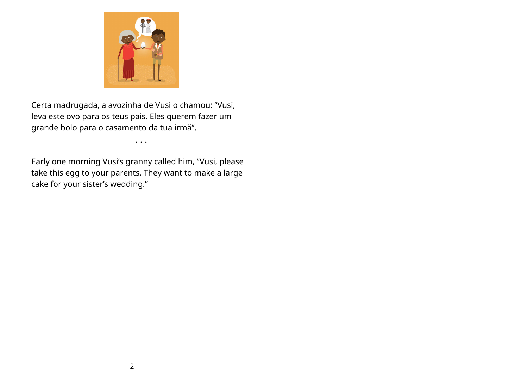

Certa madrugada, a avozinha de Vusi o chamou: "Vusi, leva este ovo para os teus pais. Eles querem fazer um grande bolo para o casamento da tua irmã".

• • •

Early one morning Vusi's granny called him, "Vusi, please take this egg to your parents. They want to make a large cake for your sister's wedding."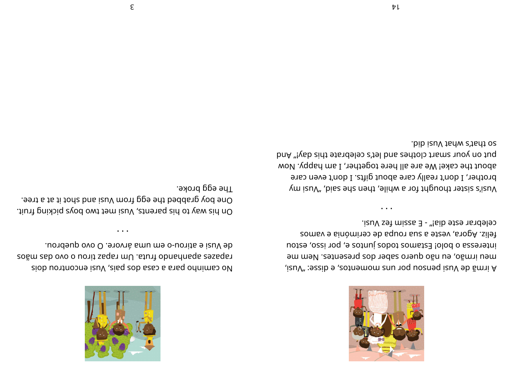

celebrar este dia!" - E assim fez Vusi. feliz. Agora, veste a sua roupa de cerimónia e vamos interessa o bolo! Estamos todos juntos e, por isso, estou meu irmão, eu não quero saber dos presentes. Nem me A irmă de Vusi pensou por uns momentos, e disse: "Vusi,

.bib izuV tarw e'tart oz put on your smart clothes and let's celebrate this day!" And about the cake! We are all here together, I am happy. Now brother, I don't really care about gifts. I don't even care yusi's sister thought for a while, then she said, "Yusi my



uondeup ovo O .enovnà smu me o-uonita e izuV eb zoăm zab ovo o uonit saqan mU .stunit obnadnaqa eesaqan siob uontroome izuV , aisq zob saso a shad odnimso oV

.əxond ggə ənT .eent a ta bods bus izuV mont gpe ent bedds g yod enO On his way to his parents, Vusi met two boys picking fruit.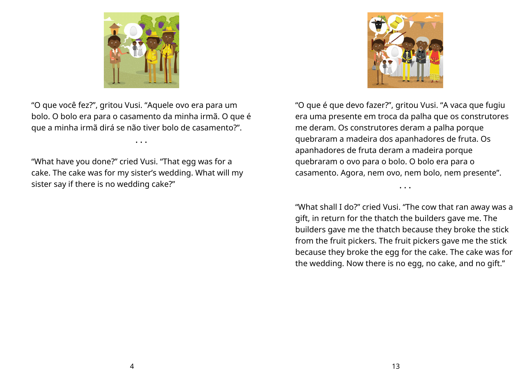

"O que você fez?", gritou Vusi. "Aquele ovo era para um bolo. O bolo era para o casamento da minha irmã. O que é que a minha irmã dirá se não tiver bolo de casamento?".

• • •

"What have you done?" cried Vusi. "That egg was for a cake. The cake was for my sister's wedding. What will my sister say if there is no wedding cake?"



"O que é que devo fazer?", gritou Vusi. "A vaca que fugiu era uma presente em troca da palha que os construtores me deram. Os construtores deram a palha porque quebraram a madeira dos apanhadores de fruta. Os apanhadores de fruta deram a madeira porque quebraram o ovo para o bolo. O bolo era para o casamento. Agora, nem ovo, nem bolo, nem presente".

"What shall I do?" cried Vusi. "The cow that ran away was a gift, in return for the thatch the builders gave me. The builders gave me the thatch because they broke the stick from the fruit pickers. The fruit pickers gave me the stick because they broke the egg for the cake. The cake was for the wedding. Now there is no egg, no cake, and no gift."

• • •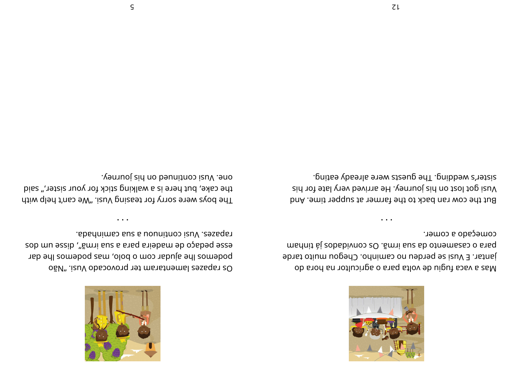

começado a comer. msnhit si zobabivnos zO .ămai suz sb otnemszas o snaq jantar. E Vusi se perdeu no caminho. Chegou muito tarde Mas a vaca fugiu de volta para o agricultor na hora do

sister's wedding. The guests were already eating. vusi got lost on his journey. He arrived very late for his But the cow ran back to the farmer at supper time. And



rapazes. Vusi continuou a sua caminhada. esop mu əssip "smini sus e sared siləpem əb opebəd əssə podemos lhe ajudar com o bolo, mas podemos lhe dar OšV" .izuV obasovonq 1et manatamal zesaqa ro

. vemuoj sin no beunitnos izuV . eno the cake, but here is a walking stick for your sister," said The boys were sorry for teasing Vusi. "We can't help with

 $\ddot{\phantom{a}}$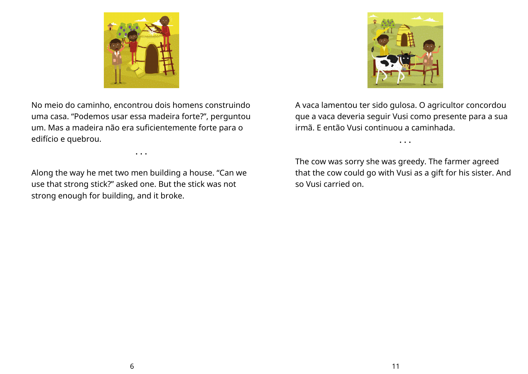

No meio do caminho, encontrou dois homens construindo uma casa. "Podemos usar essa madeira forte?", perguntou um. Mas a madeira não era suficientemente forte para o edifício e quebrou.

• • •

Along the way he met two men building a house. "Can we use that strong stick?" asked one. But the stick was not strong enough for building, and it broke.

A vaca lamentou ter sido gulosa. O agricultor concordou que a vaca deveria seguir Vusi como presente para a sua irmã. E então Vusi continuou a caminhada.

• • •

The cow was sorry she was greedy. The farmer agreed that the cow could go with Vusi as a gift for his sister. And so Vusi carried on.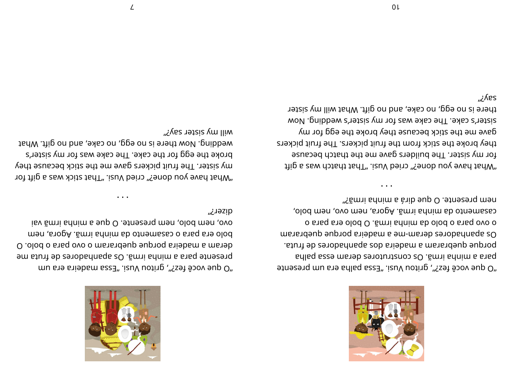

et neser p mussed is negaled as a gigar paper and one capte. adlag asse mareb zenotunt and so . ãmi adnim a araq porque quebraram a madeira dos apanhadores de fruta. mare apaupares deram-me a maqeira pupu e up are nepranamenta o shaq ara olod O . ãmi annim ab olod o araq ovo o casamento da minha irmã. Agora, nem ovo, nem bolo, "făm i shnim a àrib eup O . et neserq men

• • •

what have you dones" cried Vusi. "isuv bais " and by evailable and  $\theta$ for my sister. The builders gave me the thatch because they broke the stick from the fruit pickers. The fruit pickers gave me the stick because they broke the egg for  $m$ sister's cake. The cake was for my sister's wedding. Now there is no egg, no cake, and no gift. What will my sister esλن,



mu are fez?", gritou Vusi. "izuV uoting are aup O" em sturf eb zerobadnaga z0 . åmi adnim a stag etneserg O .olod o shed ovo o manshelp euphoq shiebam a materi men, ar ogay i ar og ar og men ar ol od isv ãm i adnim a eup O . et neser que a lo dod men, ovo aizer *خ* 

• • •

rof the sam stick was a gift tor the dougly culted Mean and the round to the tour. my sister. The fruit pickers gave me the stick because they broke the egg for the cake. The cake was for my sister's wedding. Now there is no egg, no cake, and no gift. What will my sister say?"